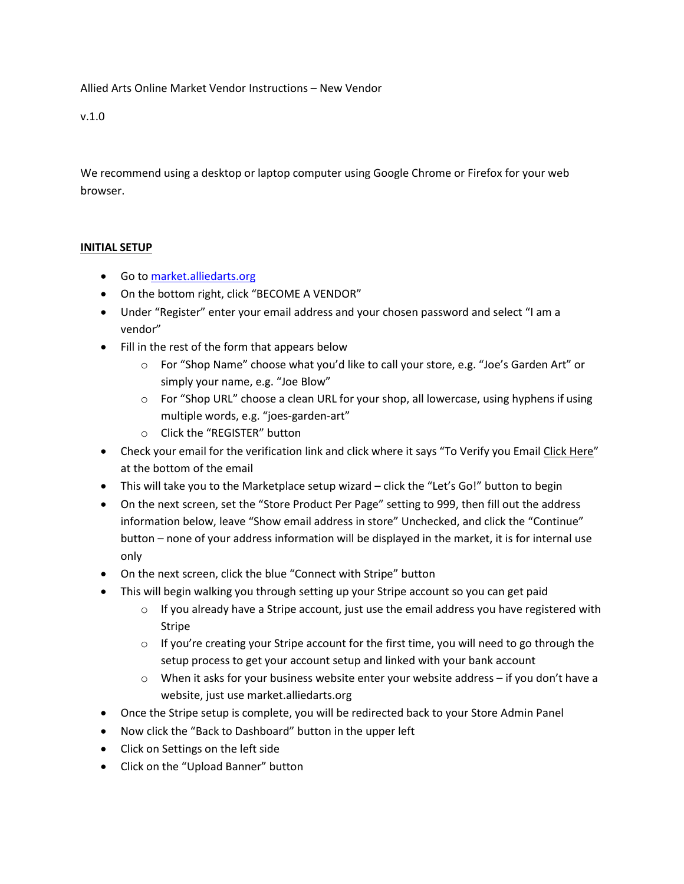Allied Arts Online Market Vendor Instructions – New Vendor

v.1.0

We recommend using a desktop or laptop computer using Google Chrome or Firefox for your web browser.

### **INITIAL SETUP**

- Go to [market.alliedarts.org](https://market.alliedarts.org/)
- On the bottom right, click "BECOME A VENDOR"
- Under "Register" enter your email address and your chosen password and select "I am a vendor"
- Fill in the rest of the form that appears below
	- o For "Shop Name" choose what you'd like to call your store, e.g. "Joe's Garden Art" or simply your name, e.g. "Joe Blow"
	- o For "Shop URL" choose a clean URL for your shop, all lowercase, using hyphens if using multiple words, e.g. "joes-garden-art"
	- o Click the "REGISTER" button
- Check your email for the verification link and click where it says "To Verify you Email Click Here" at the bottom of the email
- This will take you to the Marketplace setup wizard click the "Let's Go!" button to begin
- On the next screen, set the "Store Product Per Page" setting to 999, then fill out the address information below, leave "Show email address in store" Unchecked, and click the "Continue" button – none of your address information will be displayed in the market, it is for internal use only
- On the next screen, click the blue "Connect with Stripe" button
- This will begin walking you through setting up your Stripe account so you can get paid
	- $\circ$  If you already have a Stripe account, just use the email address you have registered with Stripe
	- $\circ$  If you're creating your Stripe account for the first time, you will need to go through the setup process to get your account setup and linked with your bank account
	- $\circ$  When it asks for your business website enter your website address if you don't have a website, just use market.alliedarts.org
- Once the Stripe setup is complete, you will be redirected back to your Store Admin Panel
- Now click the "Back to Dashboard" button in the upper left
- Click on Settings on the left side
- Click on the "Upload Banner" button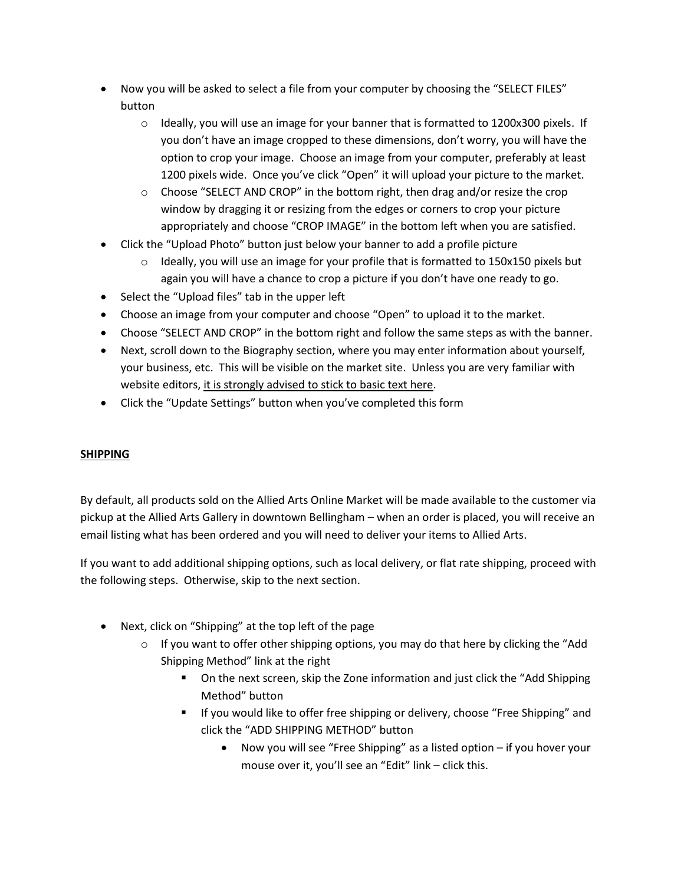- Now you will be asked to select a file from your computer by choosing the "SELECT FILES" button
	- $\circ$  Ideally, you will use an image for your banner that is formatted to 1200x300 pixels. If you don't have an image cropped to these dimensions, don't worry, you will have the option to crop your image. Choose an image from your computer, preferably at least 1200 pixels wide. Once you've click "Open" it will upload your picture to the market.
	- $\circ$  Choose "SELECT AND CROP" in the bottom right, then drag and/or resize the crop window by dragging it or resizing from the edges or corners to crop your picture appropriately and choose "CROP IMAGE" in the bottom left when you are satisfied.
- Click the "Upload Photo" button just below your banner to add a profile picture
	- $\circ$  Ideally, you will use an image for your profile that is formatted to 150x150 pixels but again you will have a chance to crop a picture if you don't have one ready to go.
- Select the "Upload files" tab in the upper left
- Choose an image from your computer and choose "Open" to upload it to the market.
- Choose "SELECT AND CROP" in the bottom right and follow the same steps as with the banner.
- Next, scroll down to the Biography section, where you may enter information about yourself, your business, etc. This will be visible on the market site. Unless you are very familiar with website editors, it is strongly advised to stick to basic text here.
- Click the "Update Settings" button when you've completed this form

# **SHIPPING**

By default, all products sold on the Allied Arts Online Market will be made available to the customer via pickup at the Allied Arts Gallery in downtown Bellingham – when an order is placed, you will receive an email listing what has been ordered and you will need to deliver your items to Allied Arts.

If you want to add additional shipping options, such as local delivery, or flat rate shipping, proceed with the following steps. Otherwise, skip to the next section.

- Next, click on "Shipping" at the top left of the page
	- $\circ$  If you want to offer other shipping options, you may do that here by clicking the "Add Shipping Method" link at the right
		- **•** On the next screen, skip the Zone information and just click the "Add Shipping Method" button
		- **If you would like to offer free shipping or delivery, choose "Free Shipping" and** click the "ADD SHIPPING METHOD" button
			- Now you will see "Free Shipping" as a listed option if you hover your mouse over it, you'll see an "Edit" link – click this.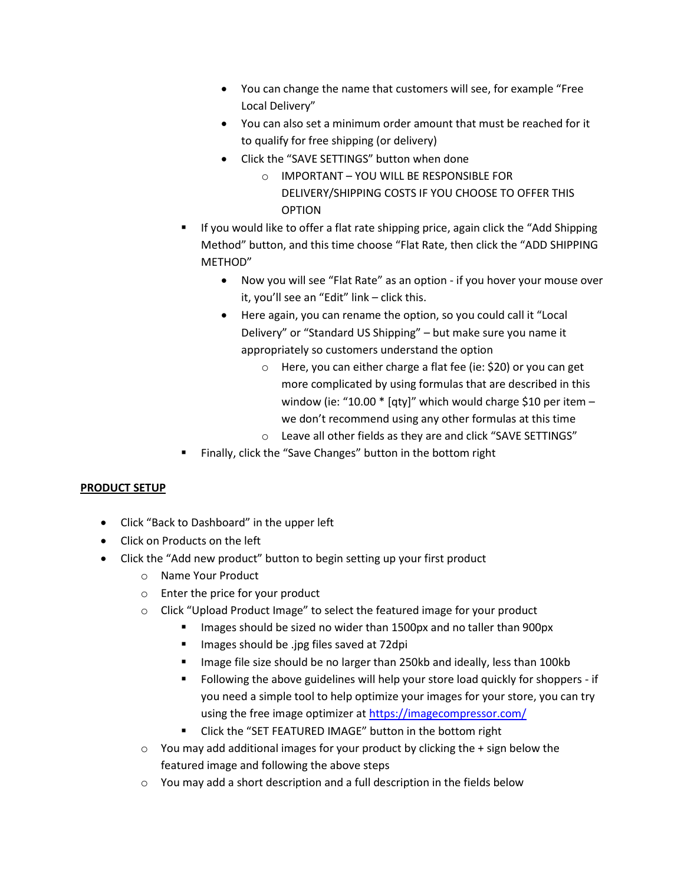- You can change the name that customers will see, for example "Free Local Delivery"
- You can also set a minimum order amount that must be reached for it to qualify for free shipping (or delivery)
- Click the "SAVE SETTINGS" button when done
	- o IMPORTANT YOU WILL BE RESPONSIBLE FOR DELIVERY/SHIPPING COSTS IF YOU CHOOSE TO OFFER THIS OPTION
- If you would like to offer a flat rate shipping price, again click the "Add Shipping Method" button, and this time choose "Flat Rate, then click the "ADD SHIPPING METHOD"
	- Now you will see "Flat Rate" as an option if you hover your mouse over it, you'll see an "Edit" link – click this.
	- Here again, you can rename the option, so you could call it "Local Delivery" or "Standard US Shipping" – but make sure you name it appropriately so customers understand the option
		- o Here, you can either charge a flat fee (ie: \$20) or you can get more complicated by using formulas that are described in this window (ie: "10.00 \* [qty]" which would charge \$10 per item we don't recommend using any other formulas at this time
		- o Leave all other fields as they are and click "SAVE SETTINGS"
- Finally, click the "Save Changes" button in the bottom right

# **PRODUCT SETUP**

- Click "Back to Dashboard" in the upper left
- Click on Products on the left
- Click the "Add new product" button to begin setting up your first product
	- o Name Your Product
	- o Enter the price for your product
	- o Click "Upload Product Image" to select the featured image for your product
		- Images should be sized no wider than 1500px and no taller than 900px
		- **IMADE:** Images should be .jpg files saved at 72dpi
		- Image file size should be no larger than 250kb and ideally, less than 100kb
		- Following the above guidelines will help your store load quickly for shoppers if you need a simple tool to help optimize your images for your store, you can try using the free image optimizer a[t https://imagecompressor.com/](https://imagecompressor.com/)
		- **EXECUTE:** Click the "SET FEATURED IMAGE" button in the bottom right
	- $\circ$  You may add additional images for your product by clicking the + sign below the featured image and following the above steps
	- o You may add a short description and a full description in the fields below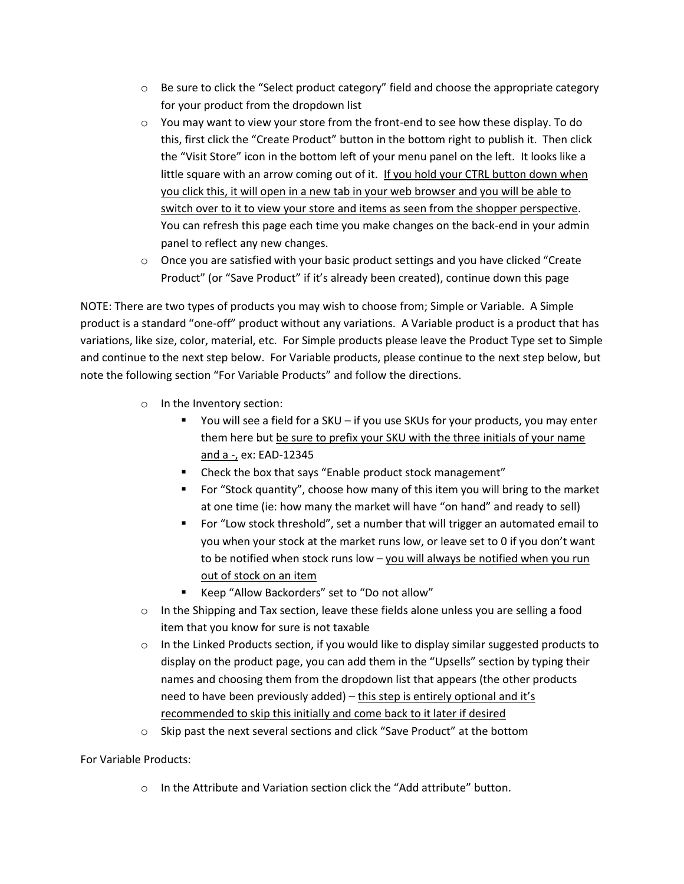- $\circ$  Be sure to click the "Select product category" field and choose the appropriate category for your product from the dropdown list
- $\circ$  You may want to view your store from the front-end to see how these display. To do this, first click the "Create Product" button in the bottom right to publish it. Then click the "Visit Store" icon in the bottom left of your menu panel on the left. It looks like a little square with an arrow coming out of it. If you hold your CTRL button down when you click this, it will open in a new tab in your web browser and you will be able to switch over to it to view your store and items as seen from the shopper perspective. You can refresh this page each time you make changes on the back-end in your admin panel to reflect any new changes.
- $\circ$  Once you are satisfied with your basic product settings and you have clicked "Create Product" (or "Save Product" if it's already been created), continue down this page

NOTE: There are two types of products you may wish to choose from; Simple or Variable. A Simple product is a standard "one-off" product without any variations. A Variable product is a product that has variations, like size, color, material, etc. For Simple products please leave the Product Type set to Simple and continue to the next step below. For Variable products, please continue to the next step below, but note the following section "For Variable Products" and follow the directions.

- o In the Inventory section:
	- You will see a field for a SKU if you use SKUs for your products, you may enter them here but be sure to prefix your SKU with the three initials of your name and a -, ex: EAD-12345
	- **E** Check the box that says "Enable product stock management"
	- For "Stock quantity", choose how many of this item you will bring to the market at one time (ie: how many the market will have "on hand" and ready to sell)
	- For "Low stock threshold", set a number that will trigger an automated email to you when your stock at the market runs low, or leave set to 0 if you don't want to be notified when stock runs low - you will always be notified when you run out of stock on an item
	- Keep "Allow Backorders" set to "Do not allow"
- $\circ$  In the Shipping and Tax section, leave these fields alone unless you are selling a food item that you know for sure is not taxable
- $\circ$  In the Linked Products section, if you would like to display similar suggested products to display on the product page, you can add them in the "Upsells" section by typing their names and choosing them from the dropdown list that appears (the other products need to have been previously added) – this step is entirely optional and it's recommended to skip this initially and come back to it later if desired
- o Skip past the next several sections and click "Save Product" at the bottom

For Variable Products:

o In the Attribute and Variation section click the "Add attribute" button.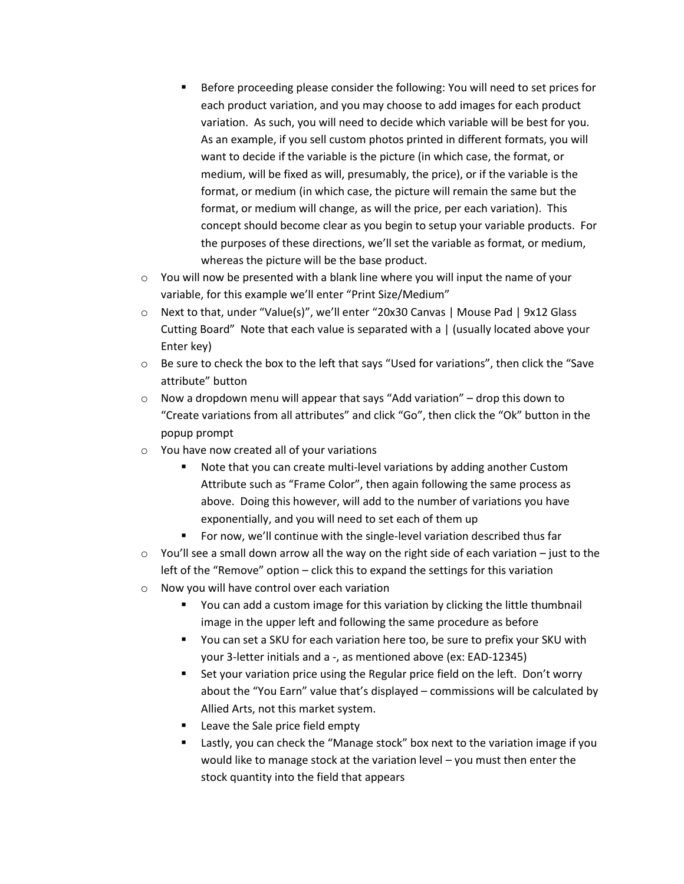- Before proceeding please consider the following: You will need to set prices for each product variation, and you may choose to add images for each product variation. As such, you will need to decide which variable will be best for you. As an example, if you sell custom photos printed in different formats, you will want to decide if the variable is the picture (in which case, the format, or medium, will be fixed as will, presumably, the price), or if the variable is the format, or medium (in which case, the picture will remain the same but the format, or medium will change, as will the price, per each variation). This concept should become clear as you begin to setup your variable products. For the purposes of these directions, we'll set the variable as format, or medium, whereas the picture will be the base product.
- $\circ$  You will now be presented with a blank line where you will input the name of your variable, for this example we'll enter "Print Size/Medium"
- o Next to that, under "Value(s)", we'll enter "20x30 Canvas | Mouse Pad | 9x12 Glass Cutting Board" Note that each value is separated with a | (usually located above your Enter key)
- $\circ$  Be sure to check the box to the left that says "Used for variations", then click the "Save attribute" button
- $\circ$  Now a dropdown menu will appear that says "Add variation" drop this down to "Create variations from all attributes" and click "Go", then click the "Ok" button in the popup prompt
- o You have now created all of your variations
	- Note that you can create multi-level variations by adding another Custom Attribute such as "Frame Color", then again following the same process as above. Doing this however, will add to the number of variations you have exponentially, and you will need to set each of them up
	- For now, we'll continue with the single-level variation described thus far
- $\circ$  You'll see a small down arrow all the way on the right side of each variation just to the left of the "Remove" option – click this to expand the settings for this variation
- o Now you will have control over each variation
	- You can add a custom image for this variation by clicking the little thumbnail image in the upper left and following the same procedure as before
	- You can set a SKU for each variation here too, be sure to prefix your SKU with your 3-letter initials and a -, as mentioned above (ex: EAD-12345)
	- **Set your variation price using the Regular price field on the left. Don't worry** about the "You Earn" value that's displayed – commissions will be calculated by Allied Arts, not this market system.
	- Leave the Sale price field empty
	- Lastly, you can check the "Manage stock" box next to the variation image if you would like to manage stock at the variation level – you must then enter the stock quantity into the field that appears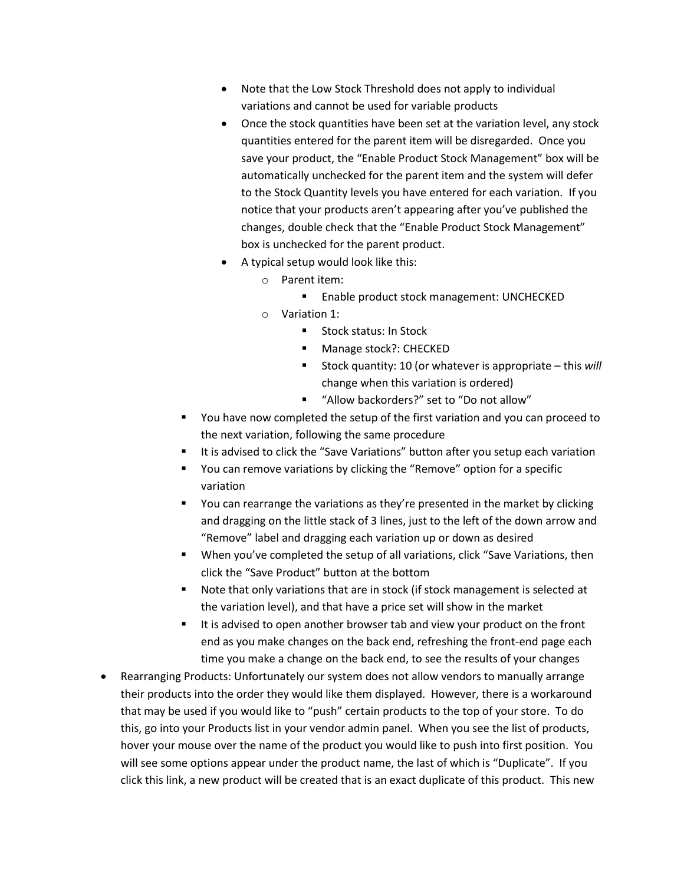- Note that the Low Stock Threshold does not apply to individual variations and cannot be used for variable products
- Once the stock quantities have been set at the variation level, any stock quantities entered for the parent item will be disregarded. Once you save your product, the "Enable Product Stock Management" box will be automatically unchecked for the parent item and the system will defer to the Stock Quantity levels you have entered for each variation. If you notice that your products aren't appearing after you've published the changes, double check that the "Enable Product Stock Management" box is unchecked for the parent product.
- A typical setup would look like this:
	- o Parent item:
		- **Enable product stock management: UNCHECKED**
	- o Variation 1:
		- Stock status: In Stock
		- **Manage stock?: CHECKED**
		- Stock quantity: 10 (or whatever is appropriate this *will* change when this variation is ordered)
		- "Allow backorders?" set to "Do not allow"
- You have now completed the setup of the first variation and you can proceed to the next variation, following the same procedure
- It is advised to click the "Save Variations" button after you setup each variation
- You can remove variations by clicking the "Remove" option for a specific variation
- **•** You can rearrange the variations as they're presented in the market by clicking and dragging on the little stack of 3 lines, just to the left of the down arrow and "Remove" label and dragging each variation up or down as desired
- When you've completed the setup of all variations, click "Save Variations, then click the "Save Product" button at the bottom
- Note that only variations that are in stock (if stock management is selected at the variation level), and that have a price set will show in the market
- It is advised to open another browser tab and view your product on the front end as you make changes on the back end, refreshing the front-end page each time you make a change on the back end, to see the results of your changes
- Rearranging Products: Unfortunately our system does not allow vendors to manually arrange their products into the order they would like them displayed. However, there is a workaround that may be used if you would like to "push" certain products to the top of your store. To do this, go into your Products list in your vendor admin panel. When you see the list of products, hover your mouse over the name of the product you would like to push into first position. You will see some options appear under the product name, the last of which is "Duplicate". If you click this link, a new product will be created that is an exact duplicate of this product. This new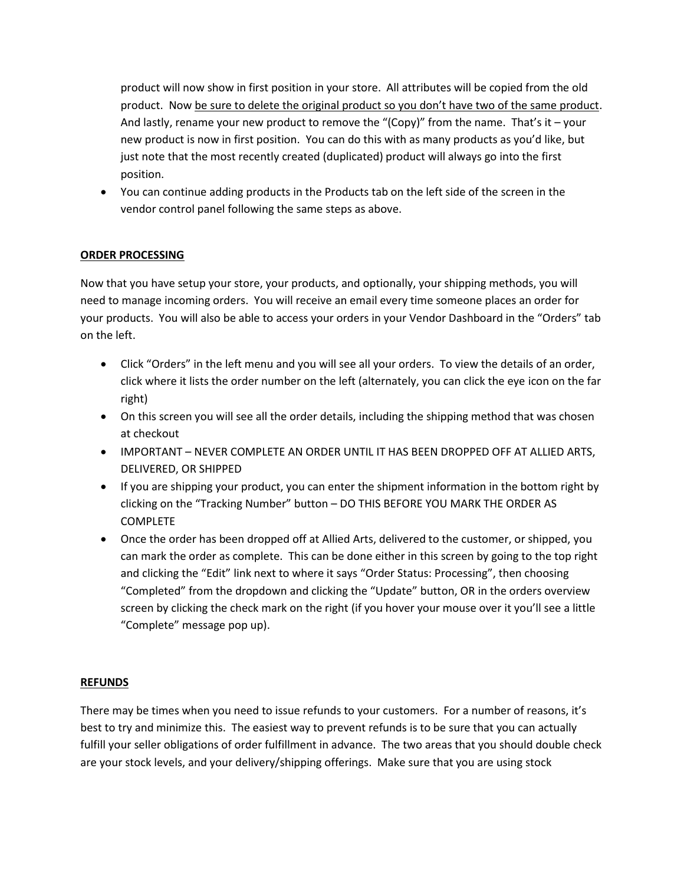product will now show in first position in your store. All attributes will be copied from the old product. Now be sure to delete the original product so you don't have two of the same product. And lastly, rename your new product to remove the "(Copy)" from the name. That's it  $-$  your new product is now in first position. You can do this with as many products as you'd like, but just note that the most recently created (duplicated) product will always go into the first position.

 You can continue adding products in the Products tab on the left side of the screen in the vendor control panel following the same steps as above.

## **ORDER PROCESSING**

Now that you have setup your store, your products, and optionally, your shipping methods, you will need to manage incoming orders. You will receive an email every time someone places an order for your products. You will also be able to access your orders in your Vendor Dashboard in the "Orders" tab on the left.

- Click "Orders" in the left menu and you will see all your orders. To view the details of an order, click where it lists the order number on the left (alternately, you can click the eye icon on the far right)
- On this screen you will see all the order details, including the shipping method that was chosen at checkout
- IMPORTANT NEVER COMPLETE AN ORDER UNTIL IT HAS BEEN DROPPED OFF AT ALLIED ARTS, DELIVERED, OR SHIPPED
- If you are shipping your product, you can enter the shipment information in the bottom right by clicking on the "Tracking Number" button – DO THIS BEFORE YOU MARK THE ORDER AS COMPLETE
- Once the order has been dropped off at Allied Arts, delivered to the customer, or shipped, you can mark the order as complete. This can be done either in this screen by going to the top right and clicking the "Edit" link next to where it says "Order Status: Processing", then choosing "Completed" from the dropdown and clicking the "Update" button, OR in the orders overview screen by clicking the check mark on the right (if you hover your mouse over it you'll see a little "Complete" message pop up).

#### **REFUNDS**

There may be times when you need to issue refunds to your customers. For a number of reasons, it's best to try and minimize this. The easiest way to prevent refunds is to be sure that you can actually fulfill your seller obligations of order fulfillment in advance. The two areas that you should double check are your stock levels, and your delivery/shipping offerings. Make sure that you are using stock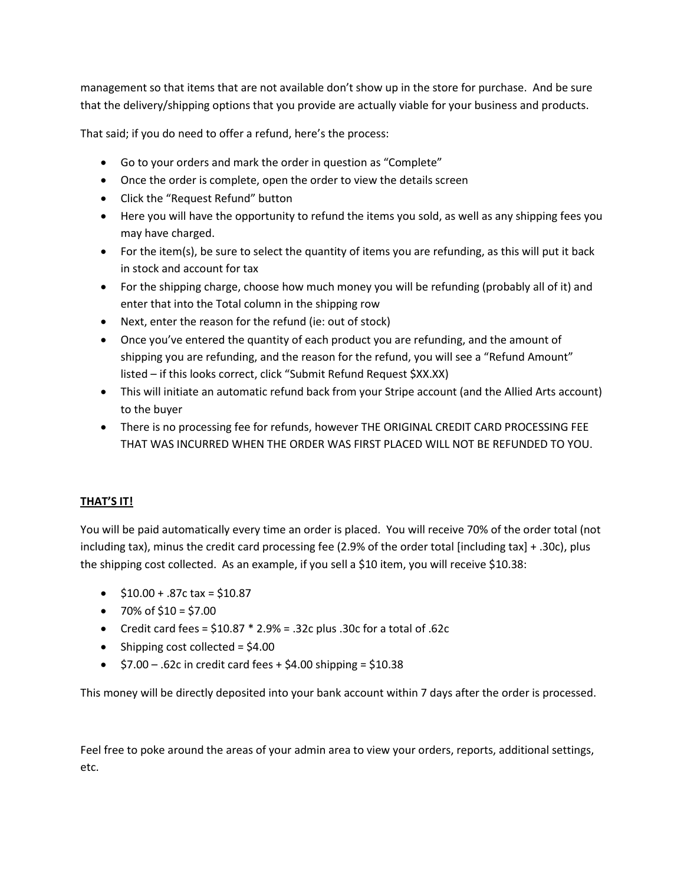management so that items that are not available don't show up in the store for purchase. And be sure that the delivery/shipping options that you provide are actually viable for your business and products.

That said; if you do need to offer a refund, here's the process:

- Go to your orders and mark the order in question as "Complete"
- Once the order is complete, open the order to view the details screen
- Click the "Request Refund" button
- Here you will have the opportunity to refund the items you sold, as well as any shipping fees you may have charged.
- For the item(s), be sure to select the quantity of items you are refunding, as this will put it back in stock and account for tax
- For the shipping charge, choose how much money you will be refunding (probably all of it) and enter that into the Total column in the shipping row
- Next, enter the reason for the refund (ie: out of stock)
- Once you've entered the quantity of each product you are refunding, and the amount of shipping you are refunding, and the reason for the refund, you will see a "Refund Amount" listed – if this looks correct, click "Submit Refund Request \$XX.XX)
- This will initiate an automatic refund back from your Stripe account (and the Allied Arts account) to the buyer
- There is no processing fee for refunds, however THE ORIGINAL CREDIT CARD PROCESSING FEE THAT WAS INCURRED WHEN THE ORDER WAS FIRST PLACED WILL NOT BE REFUNDED TO YOU.

# **THAT'S IT!**

You will be paid automatically every time an order is placed. You will receive 70% of the order total (not including tax), minus the credit card processing fee (2.9% of the order total [including tax] + .30c), plus the shipping cost collected. As an example, if you sell a \$10 item, you will receive \$10.38:

- $\bullet$  \$10.00 + .87c tax = \$10.87
- $\bullet$  70% of \$10 = \$7.00
- Credit card fees =  $$10.87 * 2.9% = .32c$  plus .30c for a total of .62c
- $\bullet$  Shipping cost collected = \$4.00
- $\bullet$  \$7.00 .62c in credit card fees + \$4.00 shipping = \$10.38

This money will be directly deposited into your bank account within 7 days after the order is processed.

Feel free to poke around the areas of your admin area to view your orders, reports, additional settings, etc.